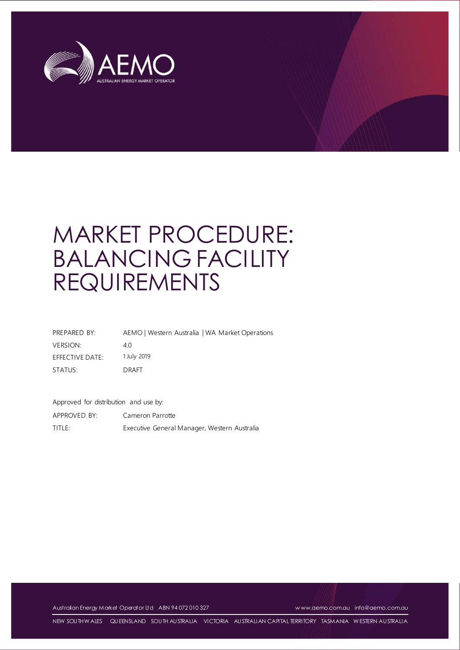

# MARKET PROCEDURE: BALANCING FACILITY REQUIREMENTS

| PREPARED BY:    | AEMO   Western Australia   WA Market Operations |
|-----------------|-------------------------------------------------|
| <b>VERSION:</b> | 40                                              |
| EFFECTIVE DATE: | 1 July 2019                                     |
| STATUS:         | DRAFT                                           |

Approved for distribution and use by: APPROVED BY: Cameron Parrotte TITLE: Executive General Manager, Western Australia

Australian Energy Market Operator Ltd ABN 94 072 010 327 [w ww.aemo.com.au](http://www.aemo.com.au/) [info@aemo.com.au](mailto:info@aemo.com.au)

NEW SOUTH W ALES QUEENSLAND SOUTH AUSTRALIA VICTORIA AUSTRALIAN CAPITAL TERRITORY TASMANIA W ESTERN AUSTRALIA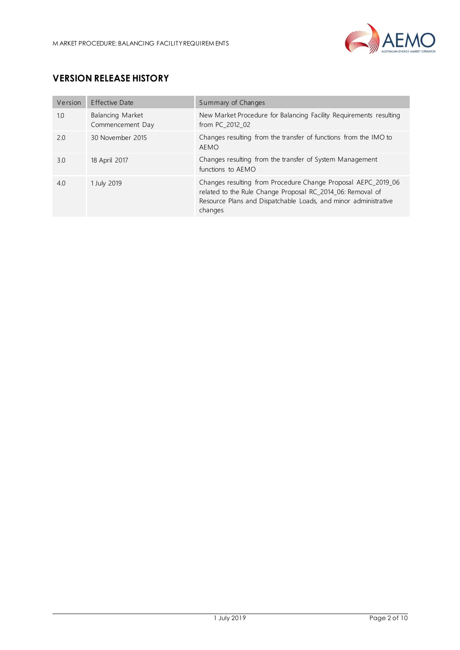

## **VERSION RELEASE HISTORY**

| Version | Effective Date                       | Summary of Changes                                                                                                                                                                                        |
|---------|--------------------------------------|-----------------------------------------------------------------------------------------------------------------------------------------------------------------------------------------------------------|
| 1.0     | Balancing Market<br>Commencement Day | New Market Procedure for Balancing Facility Requirements resulting<br>from PC_2012_02                                                                                                                     |
| 2.0     | 30 November 2015                     | Changes resulting from the transfer of functions from the IMO to<br>AEMO                                                                                                                                  |
| 3.0     | 18 April 2017                        | Changes resulting from the transfer of System Management<br>functions to AEMO                                                                                                                             |
| 4.0     | 1 July 2019                          | Changes resulting from Procedure Change Proposal AEPC_2019_06<br>related to the Rule Change Proposal RC_2014_06: Removal of<br>Resource Plans and Dispatchable Loads, and minor administrative<br>changes |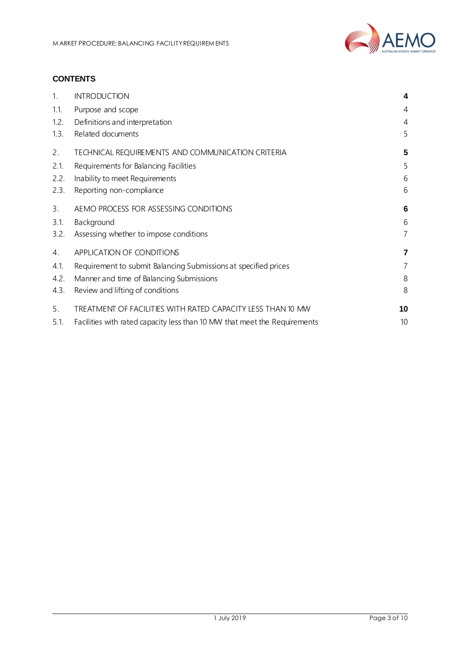

#### **CONTENTS**

| 1.   | <b>INTRODUCTION</b>                                                       | 4               |
|------|---------------------------------------------------------------------------|-----------------|
| 1.1. | Purpose and scope                                                         | $\overline{4}$  |
| 1.2. | Definitions and interpretation                                            | $\overline{4}$  |
| 1.3. | Related documents                                                         | 5               |
| 2.   | TECHNICAL REQUIREMENTS AND COMMUNICATION CRITERIA                         | 5               |
| 2.1. | Requirements for Balancing Facilities                                     | 5               |
| 2.2. | Inability to meet Requirements                                            | 6               |
| 2.3. | Reporting non-compliance                                                  | 6               |
| 3.   | AEMO PROCESS FOR ASSESSING CONDITIONS                                     | $6\phantom{1}6$ |
| 3.1. | Background                                                                | 6               |
| 3.2. | Assessing whether to impose conditions                                    | $\overline{7}$  |
| 4.   | APPLICATION OF CONDITIONS                                                 | 7               |
| 4.1. | Requirement to submit Balancing Submissions at specified prices           | $\overline{7}$  |
| 4.2. | Manner and time of Balancing Submissions                                  | 8               |
| 4.3. | Review and lifting of conditions                                          | 8               |
| 5.   | TREATMENT OF FACILITIES WITH RATED CAPACITY LESS THAN 10 MW               | 10              |
| 5.1. | Facilities with rated capacity less than 10 MW that meet the Requirements | 10              |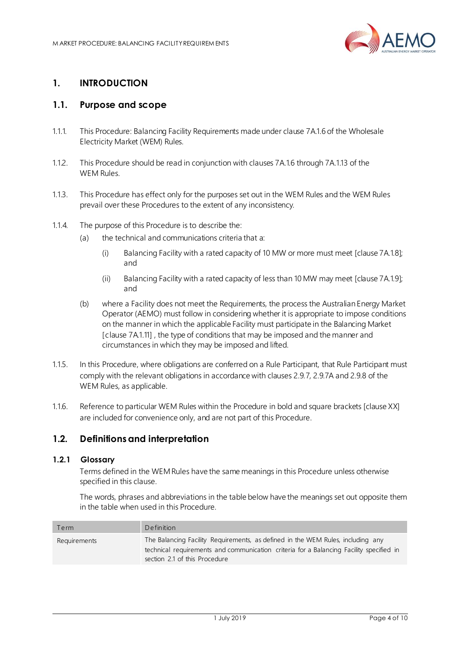

## <span id="page-3-0"></span>**1. INTRODUCTION**

#### <span id="page-3-1"></span>**1.1. Purpose and scope**

- 1.1.1. This Procedure: Balancing Facility Requirements made under clause 7A.1.6 of the Wholesale Electricity Market (WEM) Rules.
- 1.1.2. This Procedure should be read in conjunction with clauses 7A.1.6 through 7A.1.13 of the WEM Rules.
- 1.1.3. This Procedure has effect only for the purposes set out in the WEM Rules and the WEM Rules prevail over these Procedures to the extent of any inconsistency.
- 1.1.4. The purpose of this Procedure is to describe the:
	- (a) the technical and communications criteria that a:
		- (i) Balancing Facility with a rated capacity of 10 MW or more must meet [clause 7A.1.8]; and
		- (ii) Balancing Facility with a rated capacity of less than 10 MW may meet [clause 7A.1.9]; and
	- (b) where a Facility does not meet the Requirements, the process the Australian Energy Market Operator (AEMO) must follow in considering whether it is appropriate to impose conditions on the manner in which the applicable Facility must participate in the Balancing Market [clause 7A1.11], the type of conditions that may be imposed and the manner and circumstances in which they may be imposed and lifted.
- 1.1.5. In this Procedure, where obligations are conferred on a Rule Participant, that Rule Participant must comply with the relevant obligations in accordance with clauses 2.9.7, 2.9.7A and 2.9.8 of the WEM Rules, as applicable.
- 1.1.6. Reference to particular WEM Rules within the Procedure in bold and square brackets [clause XX] are included for convenience only, and are not part of this Procedure.

#### <span id="page-3-2"></span>**1.2. Definitions and interpretation**

#### **1.2.1 Glossary**

Terms defined in the WEM Rules have the same meanings in this Procedure unless otherwise specified in this clause.

The words, phrases and abbreviations in the table below have the meanings set out opposite them in the table when used in this Procedure.

| Term.        | Definition                                                                                                                                                                                                  |
|--------------|-------------------------------------------------------------------------------------------------------------------------------------------------------------------------------------------------------------|
| Requirements | The Balancing Facility Requirements, as defined in the WEM Rules, including any<br>technical requirements and communication criteria for a Balancing Facility specified in<br>section 2.1 of this Procedure |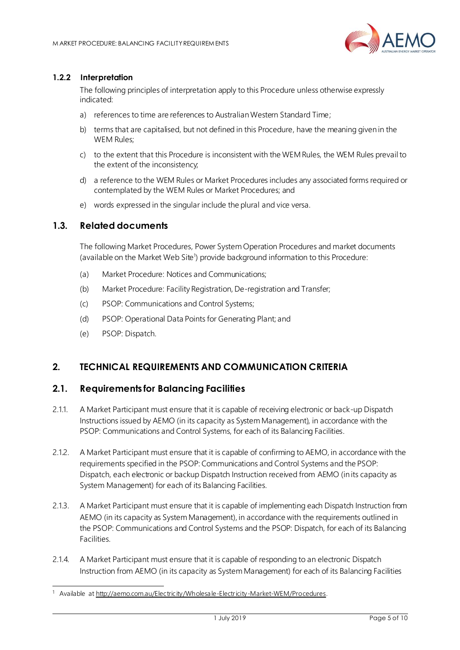

#### **1.2.2 Interpretation**

The following principles of interpretation apply to this Procedure unless otherwise expressly indicated:

- a) references to time are references to Australian Western Standard Time;
- b) terms that are capitalised, but not defined in this Procedure, have the meaning given in the WEM Rules;
- c) to the extent that this Procedure is inconsistent with the WEM Rules, the WEM Rules prevail to the extent of the inconsistency;
- d) a reference to the WEM Rules or Market Procedures includes any associated forms required or contemplated by the WEM Rules or Market Procedures; and
- e) words expressed in the singular include the plural and vice versa.

#### <span id="page-4-0"></span>**1.3. Related documents**

The following Market Procedures, Power System Operation Procedures and market documents (available on the Market Web Site<sup>1</sup>) provide background information to this Procedure:

- (a) Market Procedure: Notices and Communications;
- (b) Market Procedure: Facility Registration, De-registration and Transfer;
- (c) PSOP: Communications and Control Systems;
- (d) PSOP: Operational Data Points for Generating Plant; and
- (e) PSOP: Dispatch.

### <span id="page-4-1"></span>**2. TECHNICAL REQUIREMENTS AND COMMUNICATION CRITERIA**

#### <span id="page-4-2"></span>**2.1. Requirements for Balancing Facilities**

- <span id="page-4-3"></span>2.1.1. A Market Participant must ensure that it is capable of receiving electronic or back-up Dispatch Instructions issued by AEMO (in its capacity as System Management), in accordance with the PSOP: Communications and Control Systems, for each of its Balancing Facilities.
- <span id="page-4-6"></span>2.1.2. A Market Participant must ensure that it is capable of confirming to AEMO, in accordance with the requirements specified in the PSOP: Communications and Control Systems and the PSOP: Dispatch, each electronic or backup Dispatch Instruction received from AEMO (in its capacity as System Management) for each of its Balancing Facilities.
- <span id="page-4-5"></span>2.1.3. A Market Participant must ensure that it is capable of implementing each Dispatch Instruction from AEMO (in its capacity as System Management), in accordance with the requirements outlined in the PSOP: Communications and Control Systems and the PSOP: Dispatch, for each of its Balancing Facilities.
- <span id="page-4-4"></span>2.1.4. A Market Participant must ensure that it is capable of responding to an electronic Dispatch Instruction from AEMO (in its capacity as System Management) for each of its Balancing Facilities

<sup>-</sup><sup>1</sup> Available a[t http://aemo.com.au/Electricity/Wholesale-Electricity-Market-WEM/Procedures.](http://aemo.com.au/Electricity/Wholesale-Electricity-Market-WEM/Procedures)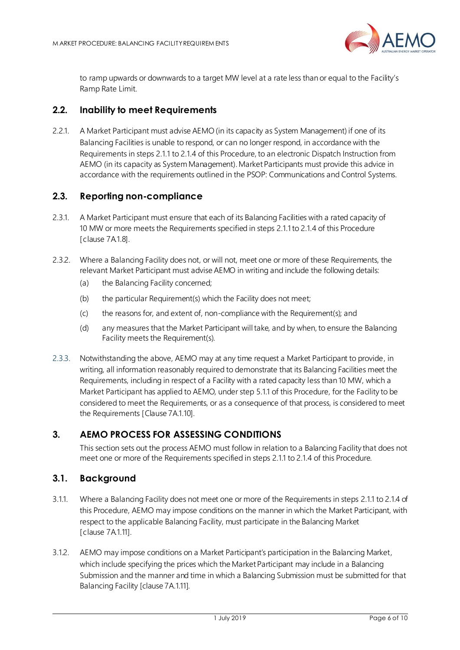

to ramp upwards or downwards to a target MW level at a rate less than or equal to the Facility's Ramp Rate Limit.

#### <span id="page-5-0"></span>**2.2. Inability to meet Requirements**

2.2.1. A Market Participant must advise AEMO (in its capacity as System Management) if one of its Balancing Facilities is unable to respond, or can no longer respond, in accordance with the Requirements in step[s 2.1.1](#page-4-3) to 2.1.4 of this Procedure, to an electronic Dispatch Instruction from AEMO (in its capacity as System Management). Market Participants must provide this advice in accordance with the requirements outlined in the PSOP: Communications and Control Systems.

#### <span id="page-5-1"></span>**2.3. Reporting non-compliance**

- 2.3.1. A Market Participant must ensure that each of its Balancing Facilities with a rated capacity of 10 MW or more meets the Requirements specified in steps [2.1.1](#page-4-3)t[o 2.1.4](#page-4-4) of this Procedure [clause 7A1.8].
- 2.3.2. Where a Balancing Facility does not, or will not, meet one or more of these Requirements, the relevant Market Participant must advise AEMO in writing and include the following details:
	- (a) the Balancing Facility concerned;
	- (b) the particular Requirement(s) which the Facility does not meet;
	- (c) the reasons for, and extent of, non-compliance with the Requirement(s); and
	- (d) any measures that the Market Participant will take, and by when, to ensure the Balancing Facility meets the Requirement(s).
- 2.3.3. Notwithstanding the above, AEMO may at any time request a Market Participant to provide, in writing, all information reasonably required to demonstrate that its Balancing Facilities meet the Requirements, including in respect of a Facility with a rated capacity less than 10 MW, which a Market Participant has applied to AEMO, under ste[p 5.1.1](#page-9-2) of this Procedure, for the Facility to be considered to meet the Requirements, or as a consequence of that process, is considered to meet the Requirements [Clause 7A.1.10].

### <span id="page-5-2"></span>**3. AEMO PROCESS FOR ASSESSING CONDITIONS**

This section sets out the process AEMO must follow in relation to a Balancing Facility that does not meet one or more of the Requirements specified in step[s 2.1.1](#page-4-3) t[o 2.1.4](#page-4-4) of this Procedure.

#### <span id="page-5-3"></span>**3.1. Background**

- 3.1.1. Where a Balancing Facility does not meet one or more of the Requirements in step[s 2.1.1](#page-4-3) t[o 2.1.4](#page-4-4) of this Procedure, AEMO may impose conditions on the manner in which the Market Participant, with respect to the applicable Balancing Facility, must participate in the Balancing Market [clause 7A1.11].
- 3.1.2. AEMO may impose conditions on a Market Participant's participation in the Balancing Market, which include specifying the prices which the Market Participant may include in a Balancing Submission and the manner and time in which a Balancing Submission must be submitted for that Balancing Facility [clause 7A.1.11].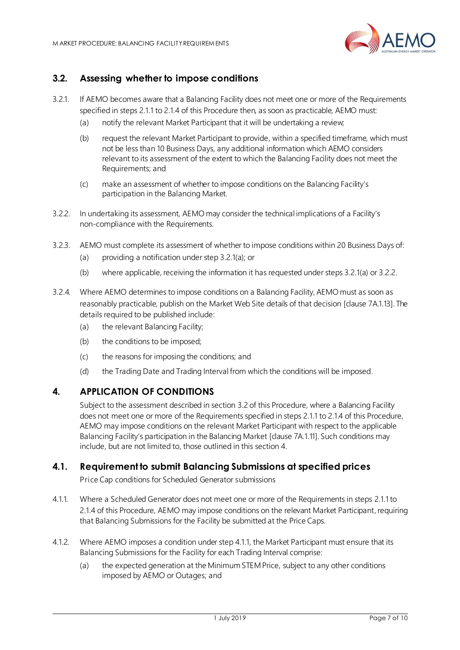

### <span id="page-6-0"></span>**3.2. Assessing whether to impose conditions**

- <span id="page-6-3"></span>3.2.1. If AEMO becomes aware that a Balancing Facility does not meet one or more of the Requirements specified in step[s 2.1.1](#page-4-3) t[o 2.1.4](#page-4-4) of this Procedure then, as soon as practicable, AEMO must:
	- (a) notify the relevant Market Participant that it will be undertaking a review;
	- (b) request the relevant Market Participant to provide, within a specified timeframe, which must not be less than 10 Business Days, any additional information which AEMO considers relevant to its assessment of the extent to which the Balancing Facility does not meet the Requirements; and
	- (c) make an assessment of whether to impose conditions on the Balancing Facility's participation in the Balancing Market.
- <span id="page-6-4"></span>3.2.2. In undertaking its assessment, AEMO may consider the technical implications of a Facility's non-compliance with the Requirements.
- 3.2.3. AEMO must complete its assessment of whether to impose conditions within 20 Business Days of:
	- (a) providing a notification under step 3.2[.1\(a\)](#page-6-3); or
	- (b) where applicable, receiving the information it has requested under steps 3.2[.1\(a\)](#page-6-3) o[r 3.2.2](#page-6-4).
- 3.2.4. Where AEMO determines to impose conditions on a Balancing Facility, AEMO must as soon as reasonably practicable, publish on the Market Web Site details of that decision [clause 7A.1.13]. The details required to be published include:
	- (a) the relevant Balancing Facility;
	- (b) the conditions to be imposed;
	- (c) the reasons for imposing the conditions; and
	- (d) the Trading Date and Trading Interval from which the conditions will be imposed.

#### <span id="page-6-1"></span>**4. APPLICATION OF CONDITIONS**

Subject to the assessment described in sectio[n 3.2](#page-6-0) of this Procedure, where a Balancing Facility does not meet one or more of the Requirements specified in step[s 2.1.1](#page-4-3) t[o 2.1.4](#page-4-4) of this Procedure, AEMO may impose conditions on the relevant Market Participant with respect to the applicable Balancing Facility's participation in the Balancing Market [clause 7A.1.11]. Such conditions may include, but are not limited to, those outlined in this section [4](#page-6-1).

#### <span id="page-6-2"></span>**4.1. Requirement to submit Balancing Submissions at specified prices**

Price Cap conditions for Scheduled Generator submissions

- <span id="page-6-5"></span>4.1.1. Where a Scheduled Generator does not meet one or more of the Requirements in step[s 2.1.1](#page-4-3)to [2.1.4](#page-4-4) of this Procedure, AEMO may impose conditions on the relevant Market Participant, requiring that Balancing Submissions for the Facility be submitted at the Price Caps.
- 4.1.2. Where AEMO imposes a condition under ste[p 4.1.1](#page-6-5), the Market Participant must ensure that its Balancing Submissions for the Facility for each Trading Interval comprise:
	- (a) the expected generation at the Minimum STEM Price, subject to any other conditions imposed by AEMO or Outages; and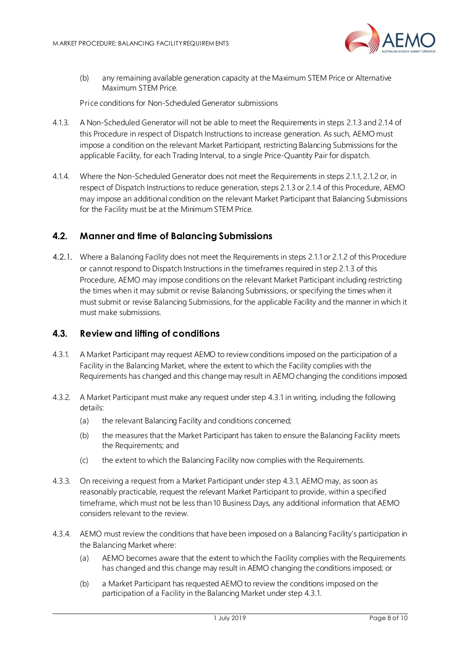

(b) any remaining available generation capacity at the Maximum STEM Price or Alternative Maximum STEM Price.

Price conditions for Non-Scheduled Generator submissions

- 4.1.3. A Non-Scheduled Generator will not be able to meet the Requirements in step[s 2.1.3](#page-4-5) an[d 2.1.4](#page-4-4) of this Procedure in respect of Dispatch Instructions to increase generation. As such, AEMO must impose a condition on the relevant Market Participant, restricting Balancing Submissions for the applicable Facility, for each Trading Interval, to a single Price-Quantity Pair for dispatch.
- 4.1.4. Where the Non-Scheduled Generator does not meet the Requirements in step[s 2.1.1](#page-4-3)[, 2.1.2](#page-4-6) or, in respect of Dispatch Instructions to reduce generation, steps [2.1.3](#page-4-5) o[r 2.1.4](#page-4-4) of this Procedure, AEMO may impose an additional condition on the relevant Market Participant that Balancing Submissions for the Facility must be at the Minimum STEM Price.

#### <span id="page-7-0"></span>**4.2. Manner and time of Balancing Submissions**

4.2.1. Where a Balancing Facility does not meet the Requirements in step[s 2.1.1](#page-4-3) o[r 2.1.2](#page-4-6) of this Procedure or cannot respond to Dispatch Instructions in the timeframes required in ste[p 2.1.3](#page-4-5) of this Procedure, AEMO may impose conditions on the relevant Market Participant including restricting the times when it may submit or revise Balancing Submissions, or specifying the times when it must submit or revise Balancing Submissions, for the applicable Facility and the manner in which it must make submissions.

#### <span id="page-7-1"></span>**4.3. Review and lifting of conditions**

- <span id="page-7-2"></span>4.3.1. A Market Participant may request AEMO to review conditions imposed on the participation of a Facility in the Balancing Market, where the extent to which the Facility complies with the Requirements has changed and this change may result in AEMO changing the conditions imposed.
- 4.3.2. A Market Participant must make any request under ste[p 4.3.1](#page-7-2) in writing, including the following details:
	- (a) the relevant Balancing Facility and conditions concerned;
	- (b) the measures that the Market Participant has taken to ensure the Balancing Facility meets the Requirements; and
	- (c) the extent to which the Balancing Facility now complies with the Requirements.
- <span id="page-7-5"></span>4.3.3. On receiving a request from a Market Participant under ste[p 4.3.1](#page-7-2), AEMO may, as soon as reasonably practicable, request the relevant Market Participant to provide, within a specified timeframe, which must not be less than 10 Business Days, any additional information that AEMO considers relevant to the review.
- <span id="page-7-4"></span><span id="page-7-3"></span>4.3.4. AEMO must review the conditions that have been imposed on a Balancing Facility's participation in the Balancing Market where:
	- (a) AEMO becomes aware that the extent to which the Facility complies with the Requirements has changed and this change may result in AEMO changing the conditions imposed; or
	- (b) a Market Participant has requested AEMO to review the conditions imposed on the participation of a Facility in the Balancing Market under ste[p 4.3.1](#page-7-2).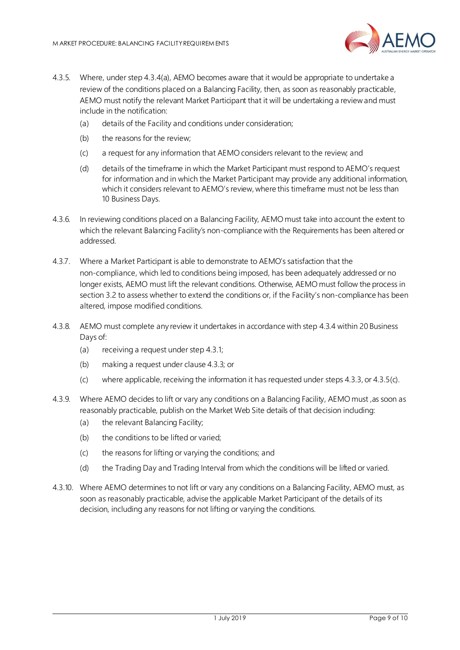

- 4.3.5. Where, under step 4.3.[4\(a\)](#page-7-3), AEMO becomes aware that it would be appropriate to undertake a review of the conditions placed on a Balancing Facility, then, as soon as reasonably practicable, AEMO must notify the relevant Market Participant that it will be undertaking a review and must include in the notification:
	- (a) details of the Facility and conditions under consideration;
	- (b) the reasons for the review;
	- (c) a request for any information that AEMO considers relevant to the review; and
	- (d) details of the timeframe in which the Market Participant must respond to AEMO's request for information and in which the Market Participant may provide any additional information, which it considers relevant to AEMO's review, where this timeframe must not be less than 10 Business Days.
- <span id="page-8-0"></span>4.3.6. In reviewing conditions placed on a Balancing Facility, AEMO must take into account the extent to which the relevant Balancing Facility's non-compliance with the Requirements has been altered or addressed.
- 4.3.7. Where a Market Participant is able to demonstrate to AEMO's satisfaction that the non-compliance, which led to conditions being imposed, has been adequately addressed or no longer exists, AEMO must lift the relevant conditions. Otherwise, AEMO must follow the process in sectio[n 3.2](#page-6-0) to assess whether to extend the conditions or, if the Facility's non-compliance has been altered, impose modified conditions.
- 4.3.8. AEMO must complete any review it undertakes in accordance with ste[p 4.3.4](#page-7-4) within 20 Business Days of:
	- (a) receiving a request under ste[p 4.3.1](#page-7-2);
	- (b) making a request under claus[e 4.3.3](#page-7-5); or
	- (c) where applicable, receiving the information it has requested under steps [4.3.3](#page-7-5), or 4.3.[5\(c\)](#page-8-0).
- 4.3.9. Where AEMO decides to lift or vary any conditions on a Balancing Facility, AEMO must ,as soon as reasonably practicable, publish on the Market Web Site details of that decision including:
	- (a) the relevant Balancing Facility;
	- (b) the conditions to be lifted or varied:
	- (c) the reasons for lifting or varying the conditions; and
	- (d) the Trading Day and Trading Interval from which the conditions will be lifted or varied.
- 4.3.10. Where AEMO determines to not lift or vary any conditions on a Balancing Facility, AEMO must, as soon as reasonably practicable, advise the applicable Market Participant of the details of its decision, including any reasons for not lifting or varying the conditions.